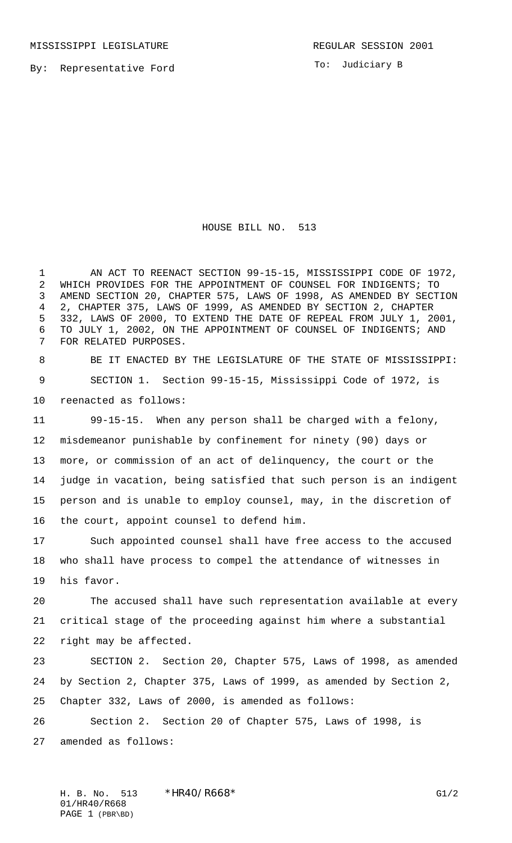To: Judiciary B

## HOUSE BILL NO. 513

 AN ACT TO REENACT SECTION 99-15-15, MISSISSIPPI CODE OF 1972, WHICH PROVIDES FOR THE APPOINTMENT OF COUNSEL FOR INDIGENTS; TO AMEND SECTION 20, CHAPTER 575, LAWS OF 1998, AS AMENDED BY SECTION 2, CHAPTER 375, LAWS OF 1999, AS AMENDED BY SECTION 2, CHAPTER 332, LAWS OF 2000, TO EXTEND THE DATE OF REPEAL FROM JULY 1, 2001, TO JULY 1, 2002, ON THE APPOINTMENT OF COUNSEL OF INDIGENTS; AND FOR RELATED PURPOSES.

 BE IT ENACTED BY THE LEGISLATURE OF THE STATE OF MISSISSIPPI: SECTION 1. Section 99-15-15, Mississippi Code of 1972, is reenacted as follows:

 99-15-15. When any person shall be charged with a felony, misdemeanor punishable by confinement for ninety (90) days or more, or commission of an act of delinquency, the court or the judge in vacation, being satisfied that such person is an indigent person and is unable to employ counsel, may, in the discretion of the court, appoint counsel to defend him.

 Such appointed counsel shall have free access to the accused who shall have process to compel the attendance of witnesses in his favor.

 The accused shall have such representation available at every critical stage of the proceeding against him where a substantial right may be affected.

 SECTION 2. Section 20, Chapter 575, Laws of 1998, as amended by Section 2, Chapter 375, Laws of 1999, as amended by Section 2, Chapter 332, Laws of 2000, is amended as follows:

 Section 2. Section 20 of Chapter 575, Laws of 1998, is amended as follows: